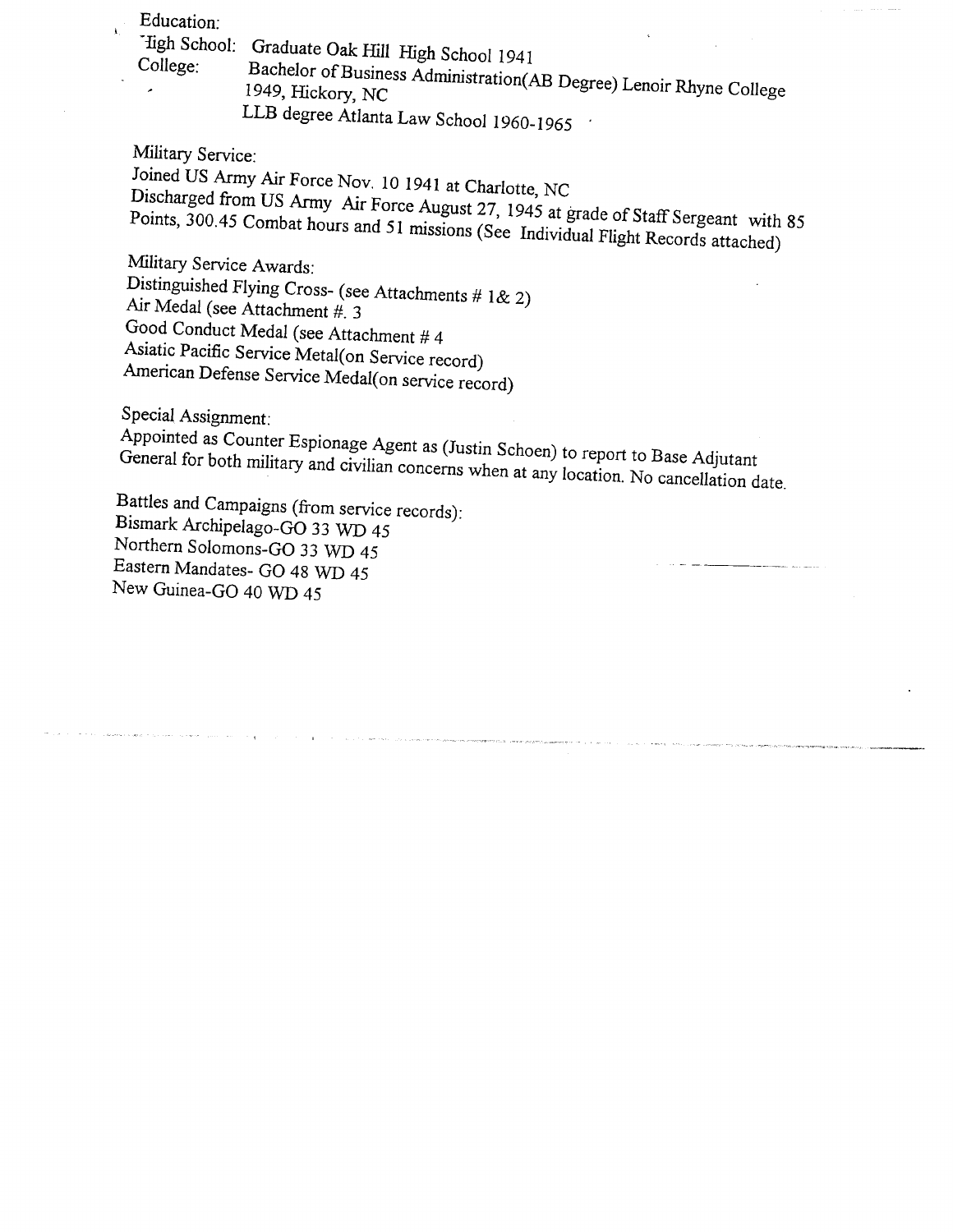*Education;* 

*'iigh School: Graduate Oak Hill High School 1941* 

*College: Bachelor of Business Administration(AB Degree) Lenoir Rhyne College 1949, Hickory, NC* 

*L L B degree Atlanta Law School 1960-1965 '* 

*Military Service: Joined US Army Air Force Nov. 10 1941 at Charlotte, NC* 

*Discharged from US Army Air Force August 27, 1945 at grade of Staff Sergeant with 85*  Points, 300.45 Combat hours and 51 missions (See Individual Flight Records attached)

*Military Service Awards:* 

*Distinguished Flying Cross- (see Attachments # 1& 2)* 

*Air Medal (see Attachment #. 3* 

*Good Conduct Medal (see Attachment # 4* 

*Asiatic Pacific Service Metal(on Service record)* 

*American Defense Service Medal(on service record)* 

*Special Assignment:* 

*Appointed as Counter Espionage Agent as (Justin Schoen) to report to Base Adjutant*  General for both military and civilian concerns when at any location. No cancellation date.

*Battles and Campaigns (from service records): Bismark Archipelago-GO 33 WD 45 Northern Solomons-GO 33 WD 45 Eastern Mandates- GO 48 WD 45 New Guinea-GO 40 WD 45*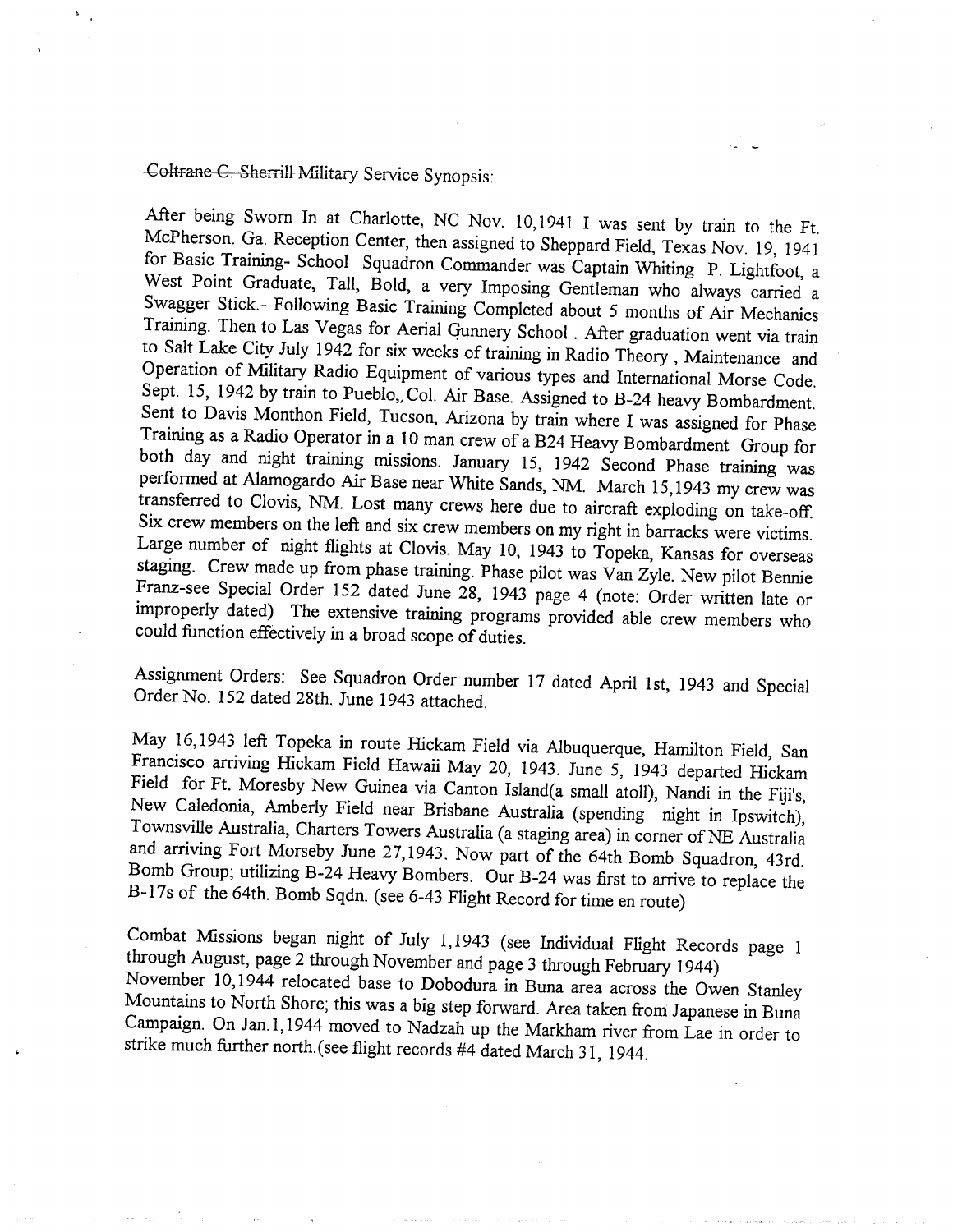## *GGkr*-aHe*-Gr-Sherrill Military Service Synopsis:*

*After being Sworn In at Charlotte, NC Nov. 10,1941 I was sent by train to the Ft. McPherson. Ga. Reception Center, then assigned to Sheppard Field, Texas Nov. 19, 1941 for Basic Training- School Squadron Commander was Captain Whiting P. Lightfoot, a*  West Point Graduate, Tall, Bold, a very Imposing Gentleman who always carried a *Swagger Stick.- Following Basic Training Completed about 5 months of Air Mechanics Training. Then to Las Vegas for Aerial Gunnery School . After graduation went via train to Salt Lake City July 1942 for six weeks of training in Radio Theory , Maintenance and Operation of Military Radio Equipment of various types and International Morse Code. Sept. 15, 1942 by train to Pueblo,, Col. Air Base. Assigned to B-24 heavy Bombardment. Sent to Davis Monthon Field, Tucson, Arizona by train where I was assigned for Phase Training as a Radio Operator in a 10 man crew of a B24 Heavy Bombardment Group for both day and night training missions. January 15, 1942 Second Phase training was performed at Alamogardo Air Base near White Sands, NM. March 15,1943 my crew was transferred to Clovis, NM. Lost many crews here due to aircraft exploding on take-off. Six crew members on the left and six crew members on my right in barracks were victims. Large number of night flights at Clovis. May 10, 1943 to Topeka, Kansas for overseas staging. Crew made up from phase training. Phase pilot was Van Zyle. New pilot Bennie Franz-see Special Order 152 dated June 28, 1943 page 4 (note: Order written late or*  improperly dated) The extensive training programs provided able crew members who *could function effectively in a broad scope of duties.* 

*Assignment Orders: See Squadron Order number 17 dated April 1st, 1943 and Special Order No. 152 dated 28th. June 1943 attached.* 

*May 16,1943 left Topeka in route Hickam Field via Albuquerque, Hamilton Field, San Francisco arriving Hickam Field Hawaii May 20, 1943. June 5, 1943 departed Hickam Field for Ft. Moresby New Guinea via Canton Island(a small atoll), Nandi in the Fiji's, New Caledonia, Amberly Field near Brisbane Australia (spending night in Ipswitch), Townsville Australia, Charters Towers Australia (a staging area) in comer of NE Australia*  and arriving Fort Morseby June 27,1943. Now part of the 64th Bomb Squadron, 43rd. Bomb Group; utilizing B-24 Heavy Bombers. Our B-24 was first to arrive to replace the *B-17s of the 64th. Bomb Sqdn. (see 6-43 Flight Record for time en route)* 

*Combat Missions began night of July 1,1943 (see Individual Flight Records page 1 through August, page 2 through November and page 3 through Febmary 1944) November 10,1944 relocated base to Dobodura in Buna area across the Owen Stanley Mountains to North Shore; this was a big step forward. Area taken ffoni Japanese in Buna Campaign. On Jan. 1,1944 moved to Nadzah up the Markham river from Lae in order to strike much further north.(see flight records #4 dated March 31, 1944.*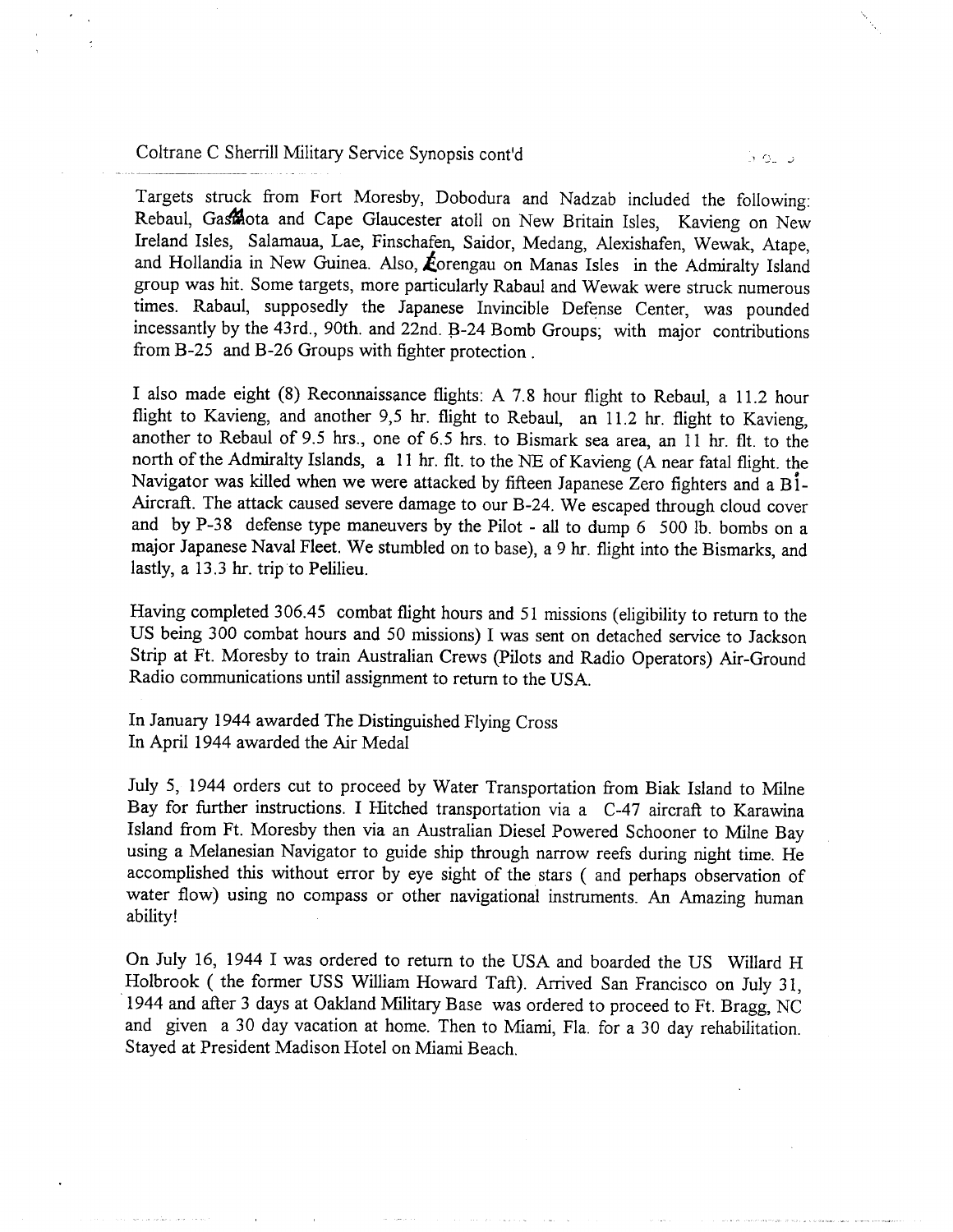*Coltrane C Sherrill Military Service Synopsis cont'd* 

*Targets struck from Fort Moresby, Dobodura and Nadzab included the following: Rebaul, Ga^ota and Cape Glaucester atoll on New Britain Isles, Kavieng on New Ireland Isles, Salamaua, Lae, Finschafen, Saidor, Medang, Alexishafen, Wewak, Atape,*  and Hollandia in New Guinea. Also, *forengau on Manas Isles in the Admiralty Island group was hit. Some targets, more particularly Rabaul and Wewak were struck numerous times. Rabaul, supposedly the Japanese Invincible Defense Center, was pounded incessantly by the 43rd., 90th. and 22nd. B-24 Bomb Groups; with major contributions from B-25 and B-26 Groups with fighter protection .* 

*I also made eight (8) Reconnaissance flights: A 7.8 hour flight to Rebaul, a 11.2 hour flight to Kavieng, and another 9,5 hr. flight to Rebaul, an 11.2 hr. flight to Kavieng, another to Rebaul of 9.5 hrs., one of 6.5 hrs. to Bismark sea area, an 11 hr. fit. to the north of the Admiralty Islands, a 11 hr. fit. to the NE of Kavieng (A near fatal flight, the Navigator was killed when we were attacked by fifteen Japanese Zero fighters and a Bl - Aircraft. The attack caused severe damage to our B-24. We escaped through cloud cover*  and by P-38 defense type maneuvers by the Pilot - all to dump 6 500 lb. bombs on a *major Japanese Naval Fleet. We stumbled on to base), a 9 hr. flight into the Bismarks, and lastly, a 13.3 hr. trip to Pelilieu.* 

*Having completed 306.45 combat flight hours and 51 missions (eligibility to return to the US being 300 combat hours and 50 missions) I was sent on detached service to Jackson Strip at Ft. Moresby to train Australian Crews (Pilots and Radio Operators) Air-Ground Radio communications until assignment to return to the USA.* 

*In January 1944 awarded The Distinguished Flying Cross In April 1944 awarded the Air Medal* 

*July 5, 1944 orders cut to proceed by Water Transportation from Biak Island to Milne Bay for further instructions. I Hitched transportation via a C-47 aircraft to Karawina Island from Ft. Moresby then via an Australian Diesel Powered Schooner to Milne Bay using a Melanesian Navigator to guide ship through narrow reefs during night time. He accomplished this without error by eye sight of the stars ( and perhaps observation of water flow) using no compass or other navigational instruments. An Amazing human ability!* 

*On July 16, 1944 I was ordered to return to the USA and boarded the US Willard H Holbrook ( the former USS William Howard Taft). Arrived San Francisco on July 31, 1944 and after 3 days at Oakland Military Base was ordered to proceed to Ft. Bragg, NC and given a 30 day vacation at home. Then to Miami, Fla. for a 30 day rehabilitation. Stayed at President Madison Hotel on Miami Beach.*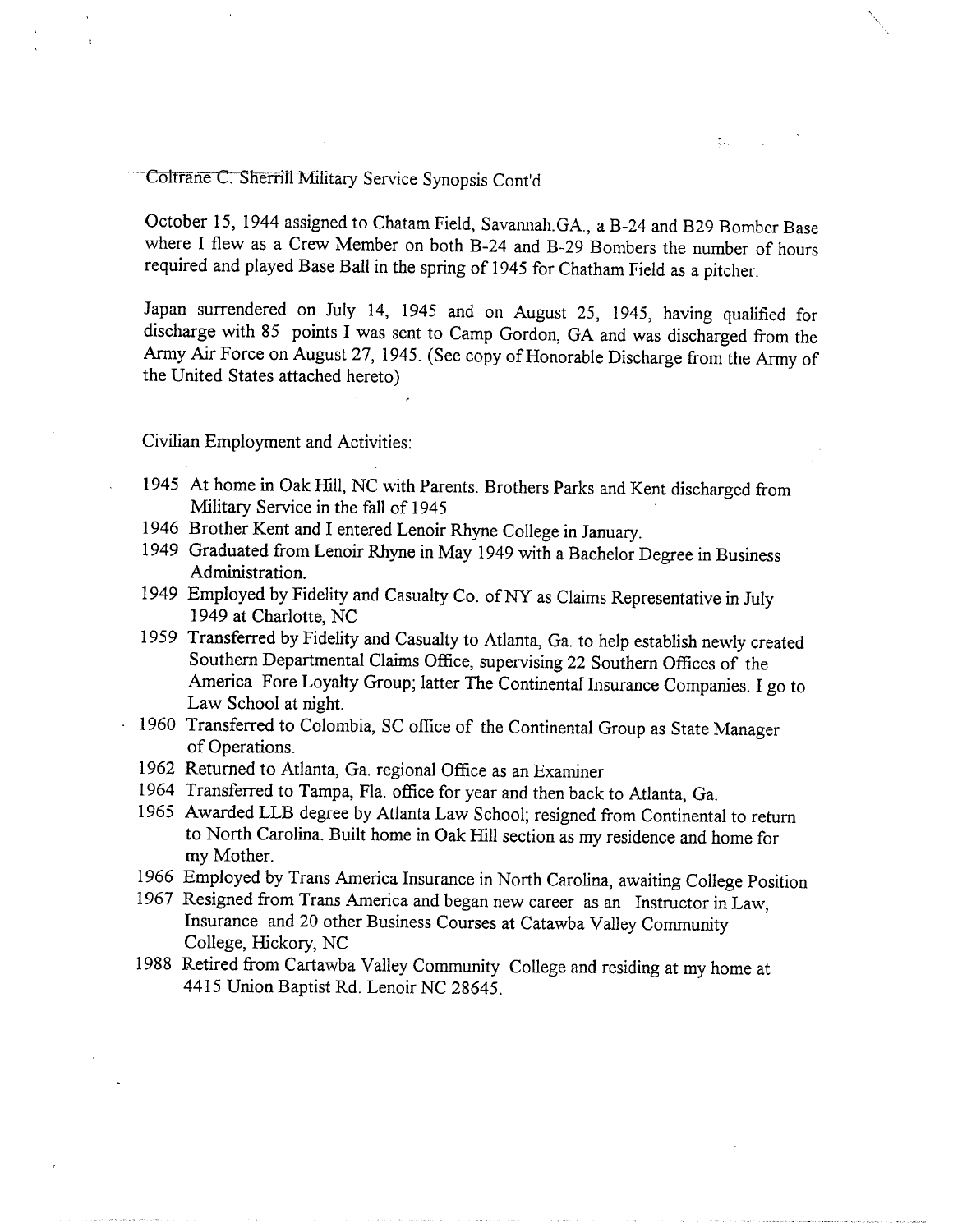Coltrane C. Sherrill Military Service Synopsis Cont'd

*October 15, 1944 assigned to Chatam Field, Savannah.GA., a B-24 and B29 Bomber Base where I flew as a Crew Member on both B-24 and B-29 Bombers the number of hours required and played Base Ball in the spring of 1945 for Chatham Field as a pitcher.* 

t.

*Japan surrendered on July 14, 1945 and on August 25, 1945, having qualified for discharge with 85 points I was sent to Camp Gordon, GA and was discharged from the Army Air Force on August 27, 1945. (See copy of Honorable Discharge from the Army of the United States attached hereto)* 

*Civilian Employment and Activities:* 

- *1945 At home in Oak Hill, NC with Parents. Brothers Parks and Kent discharged from Military Service in the fall of 1945*
- *1946 Brother Kent and I entered Lenoir Rhyne College in January.*
- *1949 Graduated from Lenoir Rhyne in May 1949 with a Bachelor Degree in Business Administration.*
- *1949 Employed by Fidelity and Casualty Co. of N Y as Claims Representative in July 1949 at Charlotte, NC*
- *1959 Transferred by Fidelity and Casualty to Atlanta, Ga. to help establish newly created Southern Departmental Claims Office, supervising 22 Southern Offices of the America Fore Loyalty Group; latter The Continental Insurance Companies. I go to Law School at night.*
- *1960 Transferred to Colombia, SC office of the Continental Group as State Manager of Operations.*
- *1962 Returned to Atlanta, Ga. regional Office as an Examiner*
- *1964 Transferred to Tampa, Fla. office for year and then back to Atlanta, Ga.*
- *1965 Awarded LL B degree by Atlanta Law School; resigned from Continental to return to North Carolina. Built home in Oak Hill section as my residence and home for my Mother.*
- *1966 Employed by Trans America Insurance in North Carolina, awaiting College Position*
- 1967 Resigned from Trans America and began new career as an Instructor in Law, *Insurance and 20 other Business Courses at Catawba Valley Community College, Hickory, NC*
- 1988 Retired from Cartawba Valley Community College and residing at my home at *4415 Union Baptist Rd. Lenoir NC 28645.*